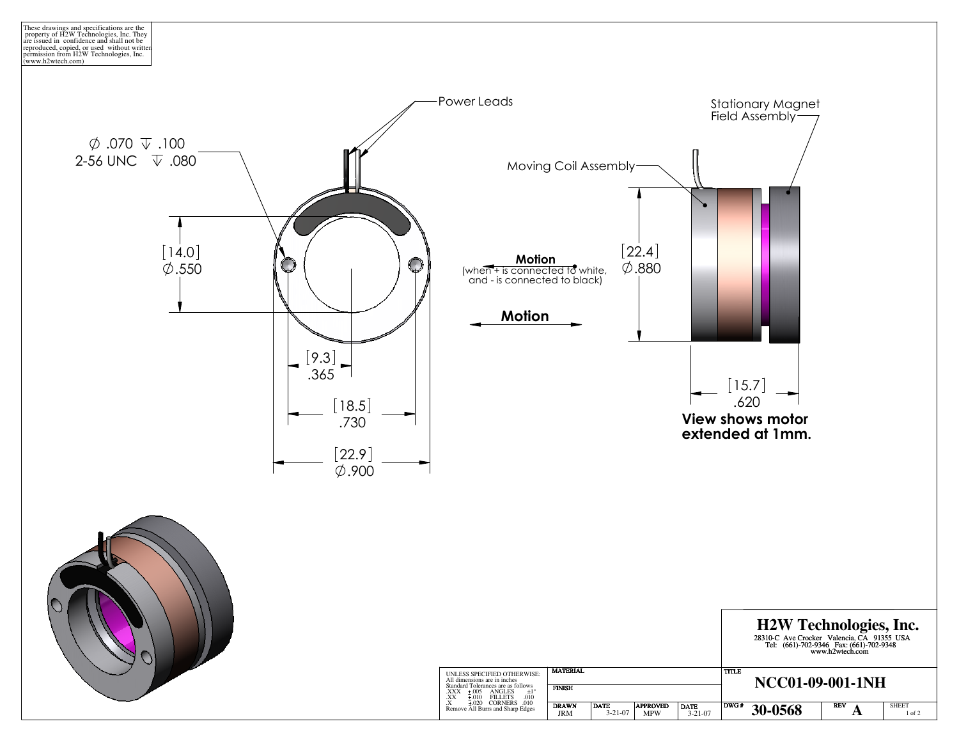